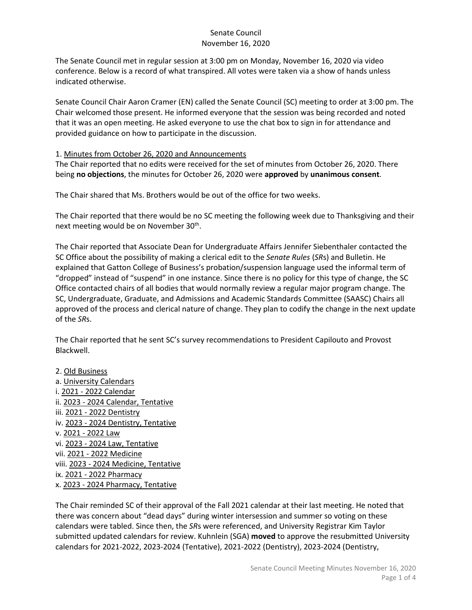The Senate Council met in regular session at 3:00 pm on Monday, November 16, 2020 via video conference. Below is a record of what transpired. All votes were taken via a show of hands unless indicated otherwise.

Senate Council Chair Aaron Cramer (EN) called the Senate Council (SC) meeting to order at 3:00 pm. The Chair welcomed those present. He informed everyone that the session was being recorded and noted that it was an open meeting. He asked everyone to use the chat box to sign in for attendance and provided guidance on how to participate in the discussion.

#### 1. Minutes from October 26, 2020 and Announcements

The Chair reported that no edits were received for the set of minutes from October 26, 2020. There being **no objections**, the minutes for October 26, 2020 were **approved** by **unanimous consent**.

The Chair shared that Ms. Brothers would be out of the office for two weeks.

The Chair reported that there would be no SC meeting the following week due to Thanksgiving and their next meeting would be on November 30<sup>th</sup>.

The Chair reported that Associate Dean for Undergraduate Affairs Jennifer Siebenthaler contacted the SC Office about the possibility of making a clerical edit to the *Senate Rules* (*SR*s) and Bulletin. He explained that Gatton College of Business's probation/suspension language used the informal term of "dropped" instead of "suspend" in one instance. Since there is no policy for this type of change, the SC Office contacted chairs of all bodies that would normally review a regular major program change. The SC, Undergraduate, Graduate, and Admissions and Academic Standards Committee (SAASC) Chairs all approved of the process and clerical nature of change. They plan to codify the change in the next update of the *SR*s.

The Chair reported that he sent SC's survey recommendations to President Capilouto and Provost Blackwell.

2. Old Business a. University Calendars i. 2021 - 2022 Calendar ii. 2023 - 2024 Calendar, Tentative iii. 2021 - 2022 Dentistry iv. 2023 - 2024 Dentistry, Tentative v. 2021 - 2022 Law vi. 2023 - 2024 Law, Tentative vii. 2021 - 2022 Medicine viii. 2023 - 2024 Medicine, Tentative ix. 2021 - 2022 Pharmacy x. 2023 - 2024 Pharmacy, Tentative

The Chair reminded SC of their approval of the Fall 2021 calendar at their last meeting. He noted that there was concern about "dead days" during winter intersession and summer so voting on these calendars were tabled. Since then, the *SR*s were referenced, and University Registrar Kim Taylor submitted updated calendars for review. Kuhnlein (SGA) **moved** to approve the resubmitted University calendars for 2021-2022, 2023-2024 (Tentative), 2021-2022 (Dentistry), 2023-2024 (Dentistry,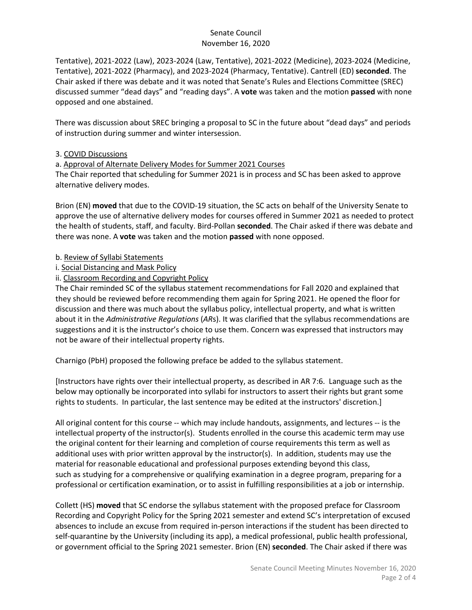Tentative), 2021-2022 (Law), 2023-2024 (Law, Tentative), 2021-2022 (Medicine), 2023-2024 (Medicine, Tentative), 2021-2022 (Pharmacy), and 2023-2024 (Pharmacy, Tentative). Cantrell (ED) **seconded**. The Chair asked if there was debate and it was noted that Senate's Rules and Elections Committee (SREC) discussed summer "dead days" and "reading days". A **vote** was taken and the motion **passed** with none opposed and one abstained.

There was discussion about SREC bringing a proposal to SC in the future about "dead days" and periods of instruction during summer and winter intersession.

## 3. COVID Discussions

a. Approval of Alternate Delivery Modes for Summer 2021 Courses

The Chair reported that scheduling for Summer 2021 is in process and SC has been asked to approve alternative delivery modes.

Brion (EN) **moved** that due to the COVID-19 situation, the SC acts on behalf of the University Senate to approve the use of alternative delivery modes for courses offered in Summer 2021 as needed to protect the health of students, staff, and faculty. Bird-Pollan **seconded**. The Chair asked if there was debate and there was none. A **vote** was taken and the motion **passed** with none opposed.

- b. Review of Syllabi Statements
- i. Social Distancing and Mask Policy
- ii. Classroom Recording and Copyright Policy

The Chair reminded SC of the syllabus statement recommendations for Fall 2020 and explained that they should be reviewed before recommending them again for Spring 2021. He opened the floor for discussion and there was much about the syllabus policy, intellectual property, and what is written about it in the *Administrative Regulations* (*AR*s). It was clarified that the syllabus recommendations are suggestions and it is the instructor's choice to use them. Concern was expressed that instructors may not be aware of their intellectual property rights.

Charnigo (PbH) proposed the following preface be added to the syllabus statement.

[Instructors have rights over their intellectual property, as described in AR 7:6. Language such as the below may optionally be incorporated into syllabi for instructors to assert their rights but grant some rights to students. In particular, the last sentence may be edited at the instructors' discretion.]

All original content for this course -- which may include handouts, assignments, and lectures -- is the intellectual property of the instructor(s). Students enrolled in the course this academic term may use the original content for their learning and completion of course requirements this term as well as additional uses with prior written approval by the instructor(s). In addition, students may use the material for reasonable educational and professional purposes extending beyond this class, such as studying for a comprehensive or qualifying examination in a degree program, preparing for a professional or certification examination, or to assist in fulfilling responsibilities at a job or internship.

Collett (HS) **moved** that SC endorse the syllabus statement with the proposed preface for Classroom Recording and Copyright Policy for the Spring 2021 semester and extend SC's interpretation of excused absences to include an excuse from required in-person interactions if the student has been directed to self-quarantine by the University (including its app), a medical professional, public health professional, or government official to the Spring 2021 semester. Brion (EN) **seconded**. The Chair asked if there was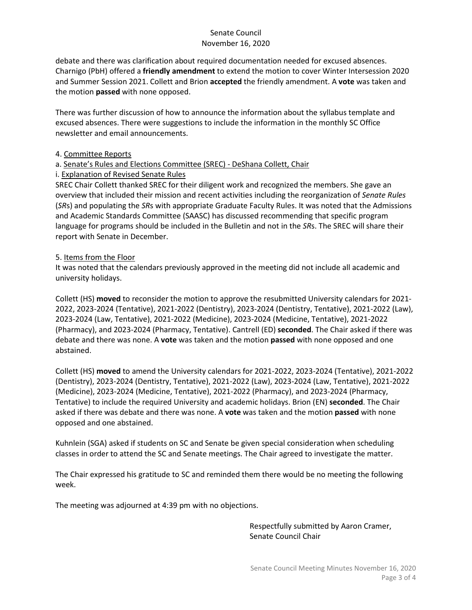debate and there was clarification about required documentation needed for excused absences. Charnigo (PbH) offered a **friendly amendment** to extend the motion to cover Winter Intersession 2020 and Summer Session 2021. Collett and Brion **accepted** the friendly amendment. A **vote** was taken and the motion **passed** with none opposed.

There was further discussion of how to announce the information about the syllabus template and excused absences. There were suggestions to include the information in the monthly SC Office newsletter and email announcements.

### 4. Committee Reports

# a. Senate's Rules and Elections Committee (SREC) - DeShana Collett, Chair

# i. Explanation of Revised Senate Rules

SREC Chair Collett thanked SREC for their diligent work and recognized the members. She gave an overview that included their mission and recent activities including the reorganization of *Senate Rules* (*SR*s) and populating the *SR*s with appropriate Graduate Faculty Rules. It was noted that the Admissions and Academic Standards Committee (SAASC) has discussed recommending that specific program language for programs should be included in the Bulletin and not in the *SR*s. The SREC will share their report with Senate in December.

# 5. Items from the Floor

It was noted that the calendars previously approved in the meeting did not include all academic and university holidays.

Collett (HS) **moved** to reconsider the motion to approve the resubmitted University calendars for 2021- 2022, 2023-2024 (Tentative), 2021-2022 (Dentistry), 2023-2024 (Dentistry, Tentative), 2021-2022 (Law), 2023-2024 (Law, Tentative), 2021-2022 (Medicine), 2023-2024 (Medicine, Tentative), 2021-2022 (Pharmacy), and 2023-2024 (Pharmacy, Tentative). Cantrell (ED) **seconded**. The Chair asked if there was debate and there was none. A **vote** was taken and the motion **passed** with none opposed and one abstained.

Collett (HS) **moved** to amend the University calendars for 2021-2022, 2023-2024 (Tentative), 2021-2022 (Dentistry), 2023-2024 (Dentistry, Tentative), 2021-2022 (Law), 2023-2024 (Law, Tentative), 2021-2022 (Medicine), 2023-2024 (Medicine, Tentative), 2021-2022 (Pharmacy), and 2023-2024 (Pharmacy, Tentative) to include the required University and academic holidays. Brion (EN) **seconded**. The Chair asked if there was debate and there was none. A **vote** was taken and the motion **passed** with none opposed and one abstained.

Kuhnlein (SGA) asked if students on SC and Senate be given special consideration when scheduling classes in order to attend the SC and Senate meetings. The Chair agreed to investigate the matter.

The Chair expressed his gratitude to SC and reminded them there would be no meeting the following week.

The meeting was adjourned at 4:39 pm with no objections.

Respectfully submitted by Aaron Cramer, Senate Council Chair